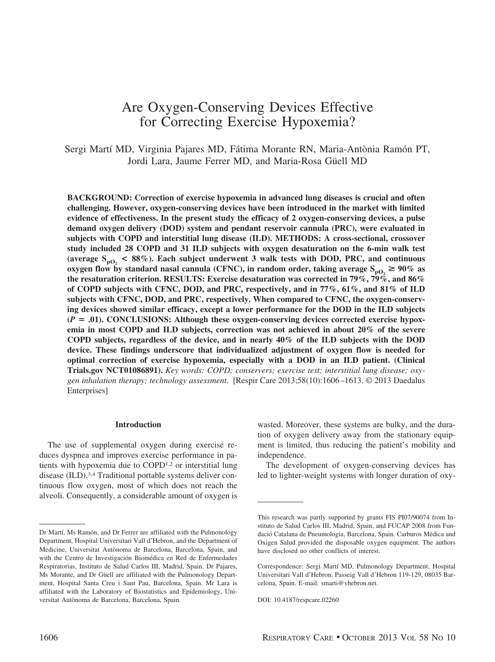# Are Oxygen-Conserving Devices Effective for Correcting Exercise Hypoxemia?

Sergi Martí MD, Virginia Pajares MD, Fátima Morante RN, Maria-Antònia Ramón PT, Jordi Lara, Jaume Ferrer MD, and Maria-Rosa Güell MD

**BACKGROUND: Correction of exercise hypoxemia in advanced lung diseases is crucial and often challenging. However, oxygen-conserving devices have been introduced in the market with limited evidence of effectiveness. In the present study the efficacy of 2 oxygen-conserving devices, a pulse demand oxygen delivery (DOD) system and pendant reservoir cannula (PRC), were evaluated in subjects with COPD and interstitial lung disease (ILD). METHODS: A cross-sectional, crossover study included 28 COPD and 31 ILD subjects with oxygen desaturation on the 6-min walk test** (average  $S_{\text{pO}_2}$  < 88%). Each subject underwent 3 walk tests with DOD, PRC, and continuous **oxygen flow by standard nasal cannula (CFNC), in random order, taking average**  $S_{pQ} \geq 90\%$  **as the resaturation criterion. RESULTS: Exercise desaturation was corrected in 79%, 79%, and 86% of COPD subjects with CFNC, DOD, and PRC, respectively, and in 77%, 61%, and 81% of ILD subjects with CFNC, DOD, and PRC, respectively. When compared to CFNC, the oxygen-conserving devices showed similar efficacy, except a lower performance for the DOD in the ILD subjects (***P* **.01). CONCLUSIONS: Although these oxygen-conserving devices corrected exercise hypoxemia in most COPD and ILD subjects, correction was not achieved in about 20% of the severe COPD subjects, regardless of the device, and in nearly 40% of the ILD subjects with the DOD device. These findings underscore that individualized adjustment of oxygen flow is needed for optimal correction of exercise hypoxemia, especially with a DOD in an ILD patient. (Clinical Trials.gov NCT01086891).** *Key words: COPD; conservers; exercise test; interstitial lung disease; oxygen inhalation therapy; technology assessment.* [Respir Care 2013;58(10):1606 –1613. © 2013 Daedalus Enterprises]

# **Introduction**

The use of supplemental oxygen during exercise reduces dyspnea and improves exercise performance in patients with hypoxemia due to COPD1,2 or interstitial lung disease (ILD).3,4 Traditional portable systems deliver continuous flow oxygen, most of which does not reach the alveoli. Consequently, a considerable amount of oxygen is wasted. Moreover, these systems are bulky, and the duration of oxygen delivery away from the stationary equipment is limited, thus reducing the patient's mobility and independence.

The development of oxygen-conserving devices has led to lighter-weight systems with longer duration of oxy-

Dr Martí, Ms Ramón, and Dr Ferrer are affiliated with the Pulmonology Department, Hospital Universitari Vall d'Hebron, and the Department of Medicine, Universitat Autònoma de Barcelona, Barcelona, Spain, and with the Centro de Investigación Biomédica en Red de Enfermedades Respiratorias, Instituto de Salud Carlos III, Madrid, Spain. Dr Pajares, Ms Morante, and Dr Güell are affiliated with the Pulmonology Department, Hospital Santa Creu i Sant Pau, Barcelona, Spain. Mr Lara is affiliated with the Laboratory of Biostatistics and Epidemiology, Universitat Autònoma de Barcelona, Barcelona, Spain.

This research was partly supported by grants FIS PI07/90074 from Instituto de Salud Carlos III, Madrid, Spain, and FUCAP 2008 from Fundació Catalana de Pneumologia, Barcelona, Spain. Carburos Médica and Oxigen Salud provided the disposable oxygen equipment. The authors have disclosed no other conflicts of interest.

Correspondence: Sergi Martí MD, Pulmonology Department, Hospital Universitari Vall d'Hebron. Passeig Vall d'Hebron 119-129, 08035 Barcelona, Spain. E-mail: smarti@vhebron.net.

DOI: 10.4187/respcare.02260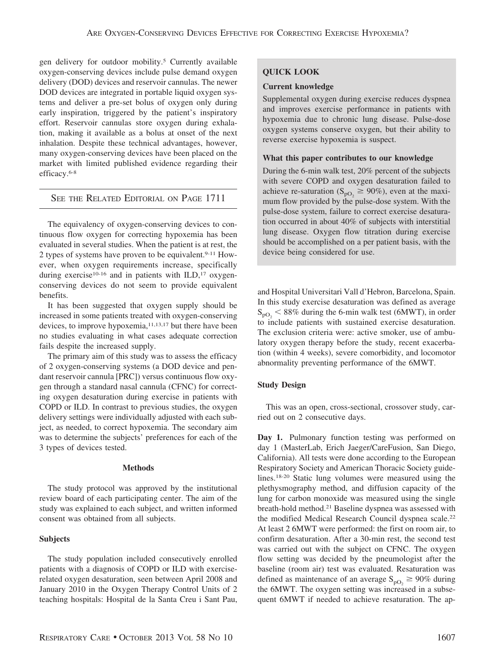gen delivery for outdoor mobility.<sup>5</sup> Currently available oxygen-conserving devices include pulse demand oxygen delivery (DOD) devices and reservoir cannulas. The newer DOD devices are integrated in portable liquid oxygen systems and deliver a pre-set bolus of oxygen only during early inspiration, triggered by the patient's inspiratory effort. Reservoir cannulas store oxygen during exhalation, making it available as a bolus at onset of the next inhalation. Despite these technical advantages, however, many oxygen-conserving devices have been placed on the market with limited published evidence regarding their efficacy.6-8

# SEE THE RELATED EDITORIAL ON PAGE 1711

The equivalency of oxygen-conserving devices to continuous flow oxygen for correcting hypoxemia has been evaluated in several studies. When the patient is at rest, the 2 types of systems have proven to be equivalent.<sup>9-11</sup> However, when oxygen requirements increase, specifically during exercise<sup>10-16</sup> and in patients with ILD,<sup>17</sup> oxygenconserving devices do not seem to provide equivalent benefits.

It has been suggested that oxygen supply should be increased in some patients treated with oxygen-conserving devices, to improve hypoxemia,<sup>11,13,17</sup> but there have been no studies evaluating in what cases adequate correction fails despite the increased supply.

The primary aim of this study was to assess the efficacy of 2 oxygen-conserving systems (a DOD device and pendant reservoir cannula [PRC]) versus continuous flow oxygen through a standard nasal cannula (CFNC) for correcting oxygen desaturation during exercise in patients with COPD or ILD. In contrast to previous studies, the oxygen delivery settings were individually adjusted with each subject, as needed, to correct hypoxemia. The secondary aim was to determine the subjects' preferences for each of the 3 types of devices tested.

## **Methods**

The study protocol was approved by the institutional review board of each participating center. The aim of the study was explained to each subject, and written informed consent was obtained from all subjects.

# **Subjects**

The study population included consecutively enrolled patients with a diagnosis of COPD or ILD with exerciserelated oxygen desaturation, seen between April 2008 and January 2010 in the Oxygen Therapy Control Units of 2 teaching hospitals: Hospital de la Santa Creu i Sant Pau,

# **QUICK LOOK**

# **Current knowledge**

Supplemental oxygen during exercise reduces dyspnea and improves exercise performance in patients with hypoxemia due to chronic lung disease. Pulse-dose oxygen systems conserve oxygen, but their ability to reverse exercise hypoxemia is suspect.

# **What this paper contributes to our knowledge**

During the 6-min walk test, 20% percent of the subjects with severe COPD and oxygen desaturation failed to achieve re-saturation ( $S_{\text{pO}_2} \ge 90\%$ ), even at the maximum flow provided by the pulse-dose system. With the pulse-dose system, failure to correct exercise desaturation occurred in about 40% of subjects with interstitial lung disease. Oxygen flow titration during exercise should be accomplished on a per patient basis, with the device being considered for use.

and Hospital Universitari Vall d'Hebron, Barcelona, Spain. In this study exercise desaturation was defined as average  $S_{pO_2}$  < 88% during the 6-min walk test (6MWT), in order to include patients with sustained exercise desaturation. The exclusion criteria were: active smoker, use of ambulatory oxygen therapy before the study, recent exacerbation (within 4 weeks), severe comorbidity, and locomotor abnormality preventing performance of the 6MWT.

# **Study Design**

This was an open, cross-sectional, crossover study, carried out on 2 consecutive days.

**Day 1.** Pulmonary function testing was performed on day 1 (MasterLab, Erich Jaeger/CareFusion, San Diego, California). All tests were done according to the European Respiratory Society and American Thoracic Society guidelines.18-20 Static lung volumes were measured using the plethysmography method, and diffusion capacity of the lung for carbon monoxide was measured using the single breath-hold method.21 Baseline dyspnea was assessed with the modified Medical Research Council dyspnea scale.22 At least 2 6MWT were performed: the first on room air, to confirm desaturation. After a 30-min rest, the second test was carried out with the subject on CFNC. The oxygen flow setting was decided by the pneumologist after the baseline (room air) test was evaluated. Resaturation was defined as maintenance of an average  $S_{pQ_2} \geq 90\%$  during the 6MWT. The oxygen setting was increased in a subsequent 6MWT if needed to achieve resaturation. The ap-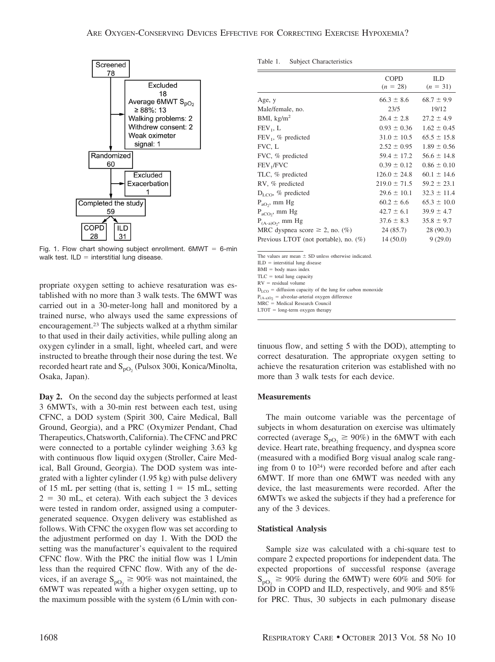

Fig. 1. Flow chart showing subject enrollment.  $6MWT = 6-min$ walk test.  $ILD =$  interstitial lung disease.

propriate oxygen setting to achieve resaturation was established with no more than 3 walk tests. The 6MWT was carried out in a 30-meter-long hall and monitored by a trained nurse, who always used the same expressions of encouragement.23 The subjects walked at a rhythm similar to that used in their daily activities, while pulling along an oxygen cylinder in a small, light, wheeled cart, and were instructed to breathe through their nose during the test. We recorded heart rate and  $S_{pO<sub>2</sub>}$  (Pulsox 300i, Konica/Minolta, Osaka, Japan).

**Day 2.** On the second day the subjects performed at least 3 6MWTs, with a 30-min rest between each test, using CFNC, a DOD system (Spirit 300, Caire Medical, Ball Ground, Georgia), and a PRC (Oxymizer Pendant, Chad Therapeutics, Chatsworth, California). The CFNC and PRC were connected to a portable cylinder weighing 3.63 kg with continuous flow liquid oxygen (Stroller, Caire Medical, Ball Ground, Georgia). The DOD system was integrated with a lighter cylinder (1.95 kg) with pulse delivery of 15 mL per setting (that is, setting  $1 = 15$  mL, setting  $2 = 30$  mL, et cetera). With each subject the 3 devices were tested in random order, assigned using a computergenerated sequence. Oxygen delivery was established as follows. With CFNC the oxygen flow was set according to the adjustment performed on day 1. With the DOD the setting was the manufacturer's equivalent to the required CFNC flow. With the PRC the initial flow was 1 L/min less than the required CFNC flow. With any of the devices, if an average  $S_{pQ_2} \geq 90\%$  was not maintained, the 6MWT was repeated with a higher oxygen setting, up to the maximum possible with the system (6 L/min with con-

| Table 1. | <b>Subject Characteristics</b> |  |  |
|----------|--------------------------------|--|--|
|----------|--------------------------------|--|--|

|                                          | <b>COPD</b><br>$(n = 28)$ | ILD<br>$(n = 31)$ |
|------------------------------------------|---------------------------|-------------------|
| Age, y                                   | $66.3 \pm 8.6$            | $68.7 \pm 9.9$    |
| Male/female, no.                         | 23/5                      | 19/12             |
| BMI, $\text{kg/m}^2$                     | $26.4 \pm 2.8$            | $27.2 \pm 4.9$    |
| $FEV_1, L$                               | $0.93 \pm 0.36$           | $1.62 \pm 0.45$   |
| $FEV_1$ , % predicted                    | $31.0 \pm 10.5$           | $65.5 \pm 15.8$   |
| FVC, L                                   | $2.52 \pm 0.95$           | $1.89 \pm 0.56$   |
| FVC, % predicted                         | $59.4 \pm 17.2$           | $56.6 \pm 14.8$   |
| FEV <sub>1</sub> /FVC                    | $0.39 \pm 0.12$           | $0.86 \pm 0.10$   |
| TLC, % predicted                         | $126.0 \pm 24.8$          | $60.1 \pm 14.6$   |
| RV, % predicted                          | $219.0 \pm 71.5$          | $59.2 \pm 23.1$   |
| $D_{\text{LO}}$ , % predicted            | $29.6 \pm 10.1$           | $32.3 \pm 11.4$   |
| $P_{aO}$ , mm Hg                         | $60.2 \pm 6.6$            | $65.3 \pm 10.0$   |
| $P_{aCO_2}$ , mm Hg                      | $42.7 \pm 6.1$            | $39.9 \pm 4.7$    |
| $P_{(A-a)O}$ , mm Hg                     | $37.6 \pm 8.3$            | $35.8 \pm 9.7$    |
| MRC dyspnea score $\geq$ 2, no. (%)      | 24 (85.7)                 | 28 (90.3)         |
| Previous LTOT (not portable), no. $(\%)$ | 14(50.0)                  | 9(29.0)           |

The values are mean  $\pm$  SD unless otherwise indicated

 $ILD =$  interstitial lung disease

 $BMI = body mass index$ 

 $TLC =$  total lung capacity  $RV = residual volume$ 

 $D_{\text{LCO}}$  = diffusion capacity of the lung for carbon monoxide

 $P_{(A-a)O_2}$  = alveolar-arterial oxygen difference<br>MRC = Medical Research Council

 $LTOT = long-term oxygen therapy$ 

tinuous flow, and setting 5 with the DOD), attempting to correct desaturation. The appropriate oxygen setting to achieve the resaturation criterion was established with no more than 3 walk tests for each device.

#### **Measurements**

The main outcome variable was the percentage of subjects in whom desaturation on exercise was ultimately corrected (average  $S_{pQ_2} \ge 90\%$ ) in the 6MWT with each device. Heart rate, breathing frequency, and dyspnea score (measured with a modified Borg visual analog scale ranging from 0 to  $10^{24}$ ) were recorded before and after each 6MWT. If more than one 6MWT was needed with any device, the last measurements were recorded. After the 6MWTs we asked the subjects if they had a preference for any of the 3 devices.

### **Statistical Analysis**

Sample size was calculated with a chi-square test to compare 2 expected proportions for independent data. The expected proportions of successful response (average  $S_{\text{pO}_2} \ge 90\%$  during the 6MWT) were 60% and 50% for DOD in COPD and ILD, respectively, and 90% and 85% for PRC. Thus, 30 subjects in each pulmonary disease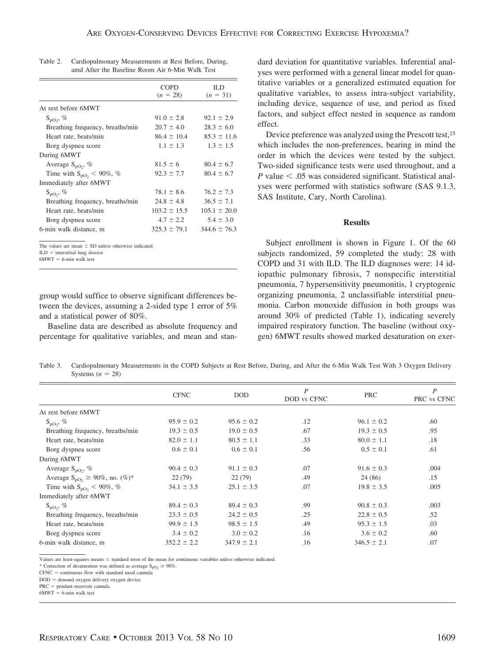|                                  | COPD<br>$(n = 28)$ | IL D<br>$(n = 31)$ |
|----------------------------------|--------------------|--------------------|
| At rest before 6MWT              |                    |                    |
| $S_{\text{DO}}$ , %              | $91.0 \pm 2.8$     | $92.1 \pm 2.9$     |
| Breathing frequency, breaths/min | $20.7 \pm 4.0$     | $28.3 \pm 6.0$     |
| Heart rate, beats/min            | $86.4 \pm 10.4$    | $85.3 \pm 11.6$    |
| Borg dyspnea score               | $1.1 \pm 1.3$      | $1.3 \pm 1.5$      |
| During 6MWT                      |                    |                    |
| Average $S_{\text{pO}}$ , %      | $81.5 \pm 6$       | $80.4 \pm 6.7$     |
| Time with $S_{pQ_2}$ < 90%, %    | $92.3 \pm 7.7$     | $80.4 \pm 6.7$     |
| Immediately after 6MWT           |                    |                    |
| $S_{\text{no}}$ , %              | $78.1 \pm 8.6$     | $76.2 \pm 7.3$     |
| Breathing frequency, breaths/min | $24.8 \pm 4.8$     | $36.5 \pm 7.1$     |
| Heart rate, beats/min            | $103.2 \pm 15.5$   | $105.1 \pm 20.0$   |
| Borg dyspnea score               | $4.7 \pm 2.2$      | $5.4 \pm 3.0$      |
| 6-min walk distance, m           | $325.3 \pm 79.1$   | $344.6 \pm 76.3$   |

| Table 2. | Cardiopulmonary Measurements at Rest Before, During, |
|----------|------------------------------------------------------|
|          | amd After the Baseline Room Air 6-Min Walk Test      |

The values are mean  $\pm$  SD unless otherwise indicated

 $ILD =$  interstitial lung disease

 $6MWT = 6$ -min walk test

group would suffice to observe significant differences between the devices, assuming a 2-sided type 1 error of 5% and a statistical power of 80%.

Baseline data are described as absolute frequency and percentage for qualitative variables, and mean and standard deviation for quantitative variables. Inferential analyses were performed with a general linear model for quantitative variables or a generalized estimated equation for qualitative variables, to assess intra-subject variability, including device, sequence of use, and period as fixed factors, and subject effect nested in sequence as random effect.

Device preference was analyzed using the Prescott test,25 which includes the non-preferences, bearing in mind the order in which the devices were tested by the subject. Two-sided significance tests were used throughout, and a  $P$  value  $\leq$  .05 was considered significant. Statistical analyses were performed with statistics software (SAS 9.1.3, SAS Institute, Cary, North Carolina).

#### **Results**

Subject enrollment is shown in Figure 1. Of the 60 subjects randomized, 59 completed the study: 28 with COPD and 31 with ILD. The ILD diagnoses were: 14 idiopathic pulmonary fibrosis, 7 nonspecific interstitial pneumonia, 7 hypersensitivity pneumonitis, 1 cryptogenic organizing pneumonia, 2 unclassifiable interstitial pneumonia. Carbon monoxide diffusion in both groups was around 30% of predicted (Table 1), indicating severely impaired respiratory function. The baseline (without oxygen) 6MWT results showed marked desaturation on exer-

Table 3. Cardiopulmonary Measurements in the COPD Subjects at Rest Before, During, and After the 6-Min Walk Test With 3 Oxygen Delivery Systems  $(n = 28)$ 

|                                            | <b>CFNC</b>     | <b>DOD</b>      | P<br>DOD vs CFNC | <b>PRC</b>      | P<br>PRC vs CFNC |
|--------------------------------------------|-----------------|-----------------|------------------|-----------------|------------------|
| At rest before 6MWT                        |                 |                 |                  |                 |                  |
| $S_{\text{pO}}$ , %                        | $95.9 \pm 0.2$  | $95.6 \pm 0.2$  | .12              | $96.1 \pm 0.2$  | .60              |
| Breathing frequency, breaths/min           | $19.3 \pm 0.5$  | $19.0 \pm 0.5$  | .67              | $19.3 \pm 0.5$  | .95              |
| Heart rate, beats/min                      | $82.0 \pm 1.1$  | $80.5 \pm 1.1$  | .33              | $80.0 \pm 1.1$  | .18              |
| Borg dyspnea score                         | $0.6 \pm 0.1$   | $0.6 \pm 0.1$   | .56              | $0.5 \pm 0.1$   | .61              |
| During 6MWT                                |                 |                 |                  |                 |                  |
| Average $S_{pQ}$ , %                       | $90.4 \pm 0.3$  | $91.1 \pm 0.3$  | .07              | $91.6 \pm 0.3$  | .004             |
| Average $S_{pQ_2} \ge 90\%$ , no. $(\%)^*$ | 22(79)          | 22(79)          | .49              | 24(86)          | .15              |
| Time with $S_{pQ_2}$ < 90%, %              | $34.1 \pm 3.5$  | $25.1 \pm 3.5$  | .07              | $19.8 \pm 3.5$  | .005             |
| Immediately after 6MWT                     |                 |                 |                  |                 |                  |
| $S_{\text{no}}$ , %                        | $89.4 \pm 0.3$  | $89.4 \pm 0.3$  | .99              | $90.8 \pm 0.3$  | .003             |
| Breathing frequency, breaths/min           | $23.3 \pm 0.5$  | $24.2 \pm 0.5$  | .25              | $22.8 \pm 0.5$  | .52              |
| Heart rate, beats/min                      | $99.9 \pm 1.5$  | $98.5 \pm 1.5$  | .49              | $95.3 \pm 1.5$  | .03              |
| Borg dyspnea score                         | $3.4 \pm 0.2$   | $3.0 \pm 0.2$   | .16              | $3.6 \pm 0.2$   | .60              |
| 6-min walk distance, m                     | $352.2 \pm 2.2$ | $347.9 \pm 2.1$ | .16              | $346.5 \pm 2.1$ | .07              |

Values are least-squares means  $\pm$  standard error of the mean for continuous variables unless otherwise indicated.

\* Correction of desaturation was defined as average  $S_{pO<sub>2</sub>} \ge 90\%$ .

 $CFNC =$  continuous flow with standard nasal cannula

DOD = demand oxygen delivery oxygen device

 $PRC =$  pendant reservoir cannula

 $6MWT = 6$ -min walk test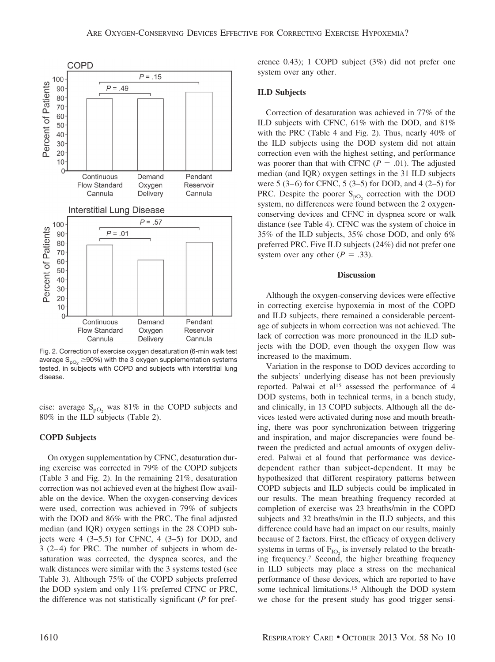

Fig. 2. Correction of exercise oxygen desaturation (6-min walk test average  $S_{pO_2} \ge 90\%$ ) with the 3 oxygen supplementation systems tested, in subjects with COPD and subjects with interstitial lung disease.

cise: average  $S_{\text{pO}_2}$  was 81% in the COPD subjects and 80% in the ILD subjects (Table 2).

## **COPD Subjects**

On oxygen supplementation by CFNC, desaturation during exercise was corrected in 79% of the COPD subjects (Table 3 and Fig. 2). In the remaining 21%, desaturation correction was not achieved even at the highest flow available on the device. When the oxygen-conserving devices were used, correction was achieved in 79% of subjects with the DOD and 86% with the PRC. The final adjusted median (and IQR) oxygen settings in the 28 COPD subjects were  $4$  (3–5.5) for CFNC,  $4$  (3–5) for DOD, and 3 (2– 4) for PRC. The number of subjects in whom desaturation was corrected, the dyspnea scores, and the walk distances were similar with the 3 systems tested (see Table 3). Although 75% of the COPD subjects preferred the DOD system and only 11% preferred CFNC or PRC, the difference was not statistically significant (*P* for preference 0.43); 1 COPD subject (3%) did not prefer one system over any other.

# **ILD Subjects**

Correction of desaturation was achieved in 77% of the ILD subjects with CFNC, 61% with the DOD, and 81% with the PRC (Table 4 and Fig. 2). Thus, nearly 40% of the ILD subjects using the DOD system did not attain correction even with the highest setting, and performance was poorer than that with CFNC ( $P = .01$ ). The adjusted median (and IQR) oxygen settings in the 31 ILD subjects were  $5$  (3–6) for CFNC,  $5$  (3–5) for DOD, and  $4$  (2–5) for PRC. Despite the poorer  $S_{pQ}$ , correction with the DOD system, no differences were found between the 2 oxygenconserving devices and CFNC in dyspnea score or walk distance (see Table 4). CFNC was the system of choice in 35% of the ILD subjects, 35% chose DOD, and only 6% preferred PRC. Five ILD subjects (24%) did not prefer one system over any other  $(P = .33)$ .

### **Discussion**

Although the oxygen-conserving devices were effective in correcting exercise hypoxemia in most of the COPD and ILD subjects, there remained a considerable percentage of subjects in whom correction was not achieved. The lack of correction was more pronounced in the ILD subjects with the DOD, even though the oxygen flow was increased to the maximum.

Variation in the response to DOD devices according to the subjects' underlying disease has not been previously reported. Palwai et al<sup>15</sup> assessed the performance of 4 DOD systems, both in technical terms, in a bench study, and clinically, in 13 COPD subjects. Although all the devices tested were activated during nose and mouth breathing, there was poor synchronization between triggering and inspiration, and major discrepancies were found between the predicted and actual amounts of oxygen delivered. Palwai et al found that performance was devicedependent rather than subject-dependent. It may be hypothesized that different respiratory patterns between COPD subjects and ILD subjects could be implicated in our results. The mean breathing frequency recorded at completion of exercise was 23 breaths/min in the COPD subjects and 32 breaths/min in the ILD subjects, and this difference could have had an impact on our results, mainly because of 2 factors. First, the efficacy of oxygen delivery systems in terms of  $F_{IO}$  is inversely related to the breathing frequency.7 Second, the higher breathing frequency in ILD subjects may place a stress on the mechanical performance of these devices, which are reported to have some technical limitations.<sup>15</sup> Although the DOD system we chose for the present study has good trigger sensi-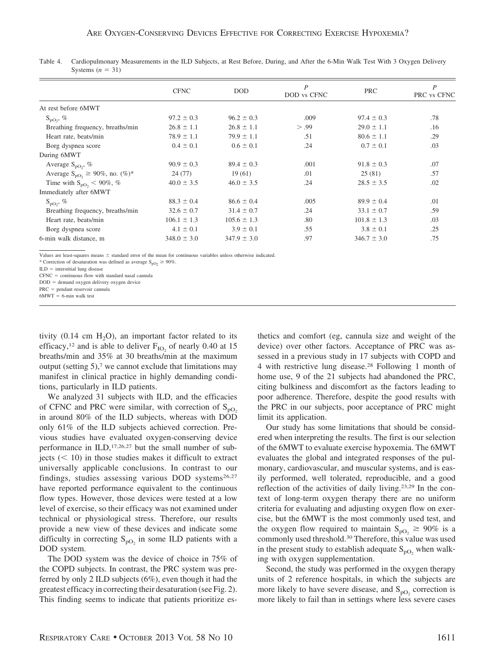|                                                   | <b>CFNC</b>     | <b>DOD</b>      | P<br>DOD vs CFNC | <b>PRC</b>      | P<br>PRC vs CFNC |
|---------------------------------------------------|-----------------|-----------------|------------------|-----------------|------------------|
| At rest before 6MWT                               |                 |                 |                  |                 |                  |
| $S_{\text{pO}}$ , %                               | $97.2 \pm 0.3$  | $96.2 \pm 0.3$  | .009             | $97.4 \pm 0.3$  | .78              |
| Breathing frequency, breaths/min                  | $26.8 \pm 1.1$  | $26.8 \pm 1.1$  | > .99            | $29.0 \pm 1.1$  | .16              |
| Heart rate, beats/min                             | $78.9 \pm 1.1$  | $79.9 \pm 1.1$  | .51              | $80.6 \pm 1.1$  | .29              |
| Borg dyspnea score                                | $0.4 \pm 0.1$   | $0.6 \pm 0.1$   | .24              | $0.7 \pm 0.1$   | .03              |
| During 6MWT                                       |                 |                 |                  |                 |                  |
| Average $S_{pQ}$ , %                              | $90.9 \pm 0.3$  | $89.4 \pm 0.3$  | .001             | $91.8 \pm 0.3$  | .07              |
| Average $S_{\text{pO}_2} \ge 90\%$ , no. $(\%)^*$ | 24(77)          | 19(61)          | .01              | 25(81)          | .57              |
| Time with $S_{pQ_2}$ < 90%, %                     | $40.0 \pm 3.5$  | $46.0 \pm 3.5$  | .24              | $28.5 \pm 3.5$  | .02              |
| Immediately after 6MWT                            |                 |                 |                  |                 |                  |
| $S_{\text{DO}}$ , %                               | $88.3 \pm 0.4$  | $86.6 \pm 0.4$  | .005             | $89.9 \pm 0.4$  | .01              |
| Breathing frequency, breaths/min                  | $32.6 \pm 0.7$  | $31.4 \pm 0.7$  | .24              | $33.1 \pm 0.7$  | .59              |
| Heart rate, beats/min                             | $106.1 \pm 1.3$ | $105.6 \pm 1.3$ | .80              | $101.8 \pm 1.3$ | .03              |
| Borg dyspnea score                                | $4.1 \pm 0.1$   | $3.9 \pm 0.1$   | .55              | $3.8 \pm 0.1$   | .25              |
| 6-min walk distance, m                            | $348.0 \pm 3.0$ | $347.9 \pm 3.0$ | .97              | $346.7 \pm 3.0$ | .75              |

Table 4. Cardiopulmonary Measurements in the ILD Subjects, at Rest Before, During, and After the 6-Min Walk Test With 3 Oxygen Delivery Systems  $(n = 31)$ 

Values are least-squares means  $\pm$  standard error of the mean for continuous variables unless otherwise indicated.

\* Correction of desaturation was defined as average  $S_{pO_2} \ge 90\%$ .

 $ILD =$  interstitial lung disease

 $CFNC =$  continuous flow with standard nasal cannula

 $DOD =$  demand oxygen delivery oxygen device

PRC = pendant reservoir cannula

tivity  $(0.14 \text{ cm } H_2\text{O})$ , an important factor related to its efficacy,<sup>12</sup> and is able to deliver  $F_{IO}$  of nearly 0.40 at 15 breaths/min and 35% at 30 breaths/min at the maximum output (setting  $5$ ),<sup>7</sup> we cannot exclude that limitations may manifest in clinical practice in highly demanding conditions, particularly in ILD patients.

We analyzed 31 subjects with ILD, and the efficacies of CFNC and PRC were similar, with correction of  $S_{pQ}$ in around 80% of the ILD subjects, whereas with DOD only 61% of the ILD subjects achieved correction. Previous studies have evaluated oxygen-conserving device performance in ILD,17,26,27 but the small number of subjects  $(< 10$ ) in those studies makes it difficult to extract universally applicable conclusions. In contrast to our findings, studies assessing various DOD systems<sup>26,27</sup> have reported performance equivalent to the continuous flow types. However, those devices were tested at a low level of exercise, so their efficacy was not examined under technical or physiological stress. Therefore, our results provide a new view of these devices and indicate some difficulty in correcting  $S_{pQ_2}$  in some ILD patients with a DOD system.

The DOD system was the device of choice in 75% of the COPD subjects. In contrast, the PRC system was preferred by only 2 ILD subjects (6%), even though it had the greatest efficacy in correcting their desaturation (see Fig. 2). This finding seems to indicate that patients prioritize esthetics and comfort (eg, cannula size and weight of the device) over other factors. Acceptance of PRC was assessed in a previous study in 17 subjects with COPD and 4 with restrictive lung disease.28 Following 1 month of home use, 9 of the 21 subjects had abandoned the PRC, citing bulkiness and discomfort as the factors leading to poor adherence. Therefore, despite the good results with the PRC in our subjects, poor acceptance of PRC might limit its application.

Our study has some limitations that should be considered when interpreting the results. The first is our selection of the 6MWT to evaluate exercise hypoxemia. The 6MWT evaluates the global and integrated responses of the pulmonary, cardiovascular, and muscular systems, and is easily performed, well tolerated, reproducible, and a good reflection of the activities of daily living.23,29 In the context of long-term oxygen therapy there are no uniform criteria for evaluating and adjusting oxygen flow on exercise, but the 6MWT is the most commonly used test, and the oxygen flow required to maintain  $S_{pQ_2} \geq 90\%$  is a commonly used threshold.<sup>30</sup> Therefore, this value was used in the present study to establish adequate  $S_{pQ}$ , when walking with oxygen supplementation.

Second, the study was performed in the oxygen therapy units of 2 reference hospitals, in which the subjects are more likely to have severe disease, and  $S_{pQ}$  correction is more likely to fail than in settings where less severe cases

 $6MWT = 6$ -min walk test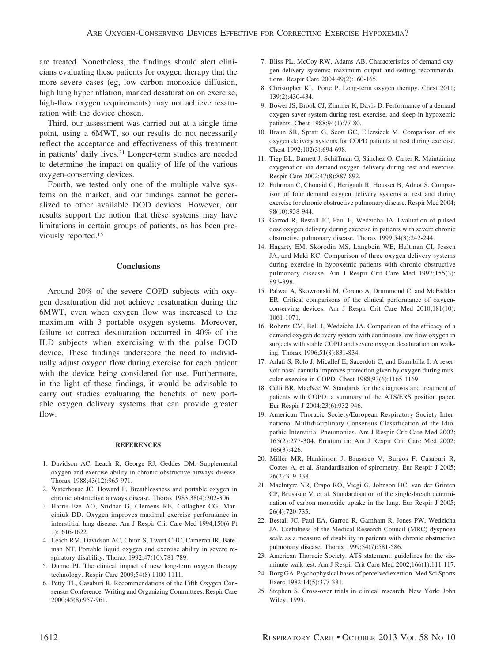are treated. Nonetheless, the findings should alert clinicians evaluating these patients for oxygen therapy that the more severe cases (eg, low carbon monoxide diffusion, high lung hyperinflation, marked desaturation on exercise, high-flow oxygen requirements) may not achieve resaturation with the device chosen.

Third, our assessment was carried out at a single time point, using a 6MWT, so our results do not necessarily reflect the acceptance and effectiveness of this treatment in patients' daily lives.31 Longer-term studies are needed to determine the impact on quality of life of the various oxygen-conserving devices.

Fourth, we tested only one of the multiple valve systems on the market, and our findings cannot be generalized to other available DOD devices. However, our results support the notion that these systems may have limitations in certain groups of patients, as has been previously reported.15

### **Conclusions**

Around 20% of the severe COPD subjects with oxygen desaturation did not achieve resaturation during the 6MWT, even when oxygen flow was increased to the maximum with 3 portable oxygen systems. Moreover, failure to correct desaturation occurred in 40% of the ILD subjects when exercising with the pulse DOD device. These findings underscore the need to individually adjust oxygen flow during exercise for each patient with the device being considered for use. Furthermore, in the light of these findings, it would be advisable to carry out studies evaluating the benefits of new portable oxygen delivery systems that can provide greater flow.

#### **REFERENCES**

- 1. Davidson AC, Leach R, George RJ, Geddes DM. Supplemental oxygen and exercise ability in chronic obstructive airways disease. Thorax 1988;43(12):965-971.
- 2. Waterhouse JC, Howard P. Breathlessness and portable oxygen in chronic obstructive airways disease. Thorax 1983;38(4):302-306.
- 3. Harris-Eze AO, Sridhar G, Clemens RE, Gallagher CG, Marciniuk DD. Oxygen improves maximal exercise performance in interstitial lung disease. Am J Respir Crit Care Med 1994;150(6 Pt 1):1616-1622.
- 4. Leach RM, Davidson AC, Chinn S, Twort CHC, Cameron IR, Bateman NT. Portable liquid oxygen and exercise ability in severe respiratory disability. Thorax 1992;47(10):781-789.
- 5. Dunne PJ. The clinical impact of new long-term oxygen therapy technology. Respir Care 2009;54(8):1100-1111.
- 6. Petty TL, Casaburi R. Recommendations of the Fifth Oxygen Consensus Conference. Writing and Organizing Committees. Respir Care 2000;45(8):957-961.
- 7. Bliss PL, McCoy RW, Adams AB. Characteristics of demand oxygen delivery systems: maximum output and setting recommendations. Respir Care 2004;49(2):160-165.
- 8. Christopher KL, Porte P. Long-term oxygen therapy. Chest 2011; 139(2):430-434.
- 9. Bower JS, Brook CJ, Zimmer K, Davis D. Performance of a demand oxygen saver system during rest, exercise, and sleep in hypoxemic patients. Chest 1988;94(1):77-80.
- 10. Braun SR, Spratt G, Scott GC, Ellersieck M. Comparison of six oxygen delivery systems for COPD patients at rest during exercise. Chest 1992;102(3):694-698.
- 11. Tiep BL, Barnett J, Schiffman G, Sánchez O, Carter R. Maintaining oxygenation via demand oxygen delivery during rest and exercise. Respir Care 2002;47(8):887-892.
- 12. Fuhrman C, Chouaid C, Herigault R, Housset B, Adnot S. Comparison of four demand oxygen delivery systems at rest and during exercise for chronic obstructive pulmonary disease. Respir Med 2004; 98(10):938-944.
- 13. Garrod R, Bestall JC, Paul E, Wedzicha JA. Evaluation of pulsed dose oxygen delivery during exercise in patients with severe chronic obstructive pulmonary disease. Thorax 1999;54(3):242-244.
- 14. Hagarty EM, Skorodin MS, Langbein WE, Hultman CI, Jessen JA, and Maki KC. Comparison of three oxygen delivery systems during exercise in hypoxemic patients with chronic obstructive pulmonary disease. Am J Respir Crit Care Med 1997;155(3): 893-898.
- 15. Palwai A, Skowronski M, Coreno A, Drummond C, and McFadden ER. Critical comparisons of the clinical performance of oxygenconserving devices. Am J Respir Crit Care Med 2010;181(10): 1061-1071.
- 16. Roberts CM, Bell J, Wedzicha JA. Comparison of the efficacy of a demand oxygen delivery system with continuous low flow oxygen in subjects with stable COPD and severe oxygen desaturation on walking. Thorax 1996;51(8):831-834.
- 17. Arlati S, Rolo J, Micallef E, Sacerdoti C, and Brambilla I. A reservoir nasal cannula improves protection given by oxygen during muscular exercise in COPD. Chest 1988;93(6):1165-1169.
- 18. Celli BR, MacNee W. Standards for the diagnosis and treatment of patients with COPD: a summary of the ATS/ERS position paper. Eur Respir J 2004;23(6):932-946.
- 19. American Thoracic Society/European Respiratory Society International Multidisciplinary Consensus Classification of the Idiopathic Interstitial Pneumonias. Am J Respir Crit Care Med 2002; 165(2):277-304. Erratum in: Am J Respir Crit Care Med 2002; 166(3):426.
- 20. Miller MR, Hankinson J, Brusasco V, Burgos F, Casaburi R, Coates A, et al. Standardisation of spirometry. Eur Respir J 2005; 26(2):319-338.
- 21. MacIntyre NR, Crapo RO, Viegi G, Johnson DC, van der Grinten CP, Brusasco V, et al. Standardisation of the single-breath determination of carbon monoxide uptake in the lung. Eur Respir J 2005; 26(4):720-735.
- 22. Bestall JC, Paul EA, Garrod R, Garnham R, Jones PW, Wedzicha JA. Usefulness of the Medical Research Council (MRC) dyspnoea scale as a measure of disability in patients with chronic obstructive pulmonary disease. Thorax 1999;54(7):581-586.
- 23. American Thoracic Society. ATS statement: guidelines for the sixminute walk test. Am J Respir Crit Care Med 2002;166(1):111-117.
- 24. Borg GA. Psychophysical bases of perceived exertion. Med Sci Sports Exerc 1982;14(5):377-381.
- 25. Stephen S. Cross-over trials in clinical research. New York: John Wiley; 1993.